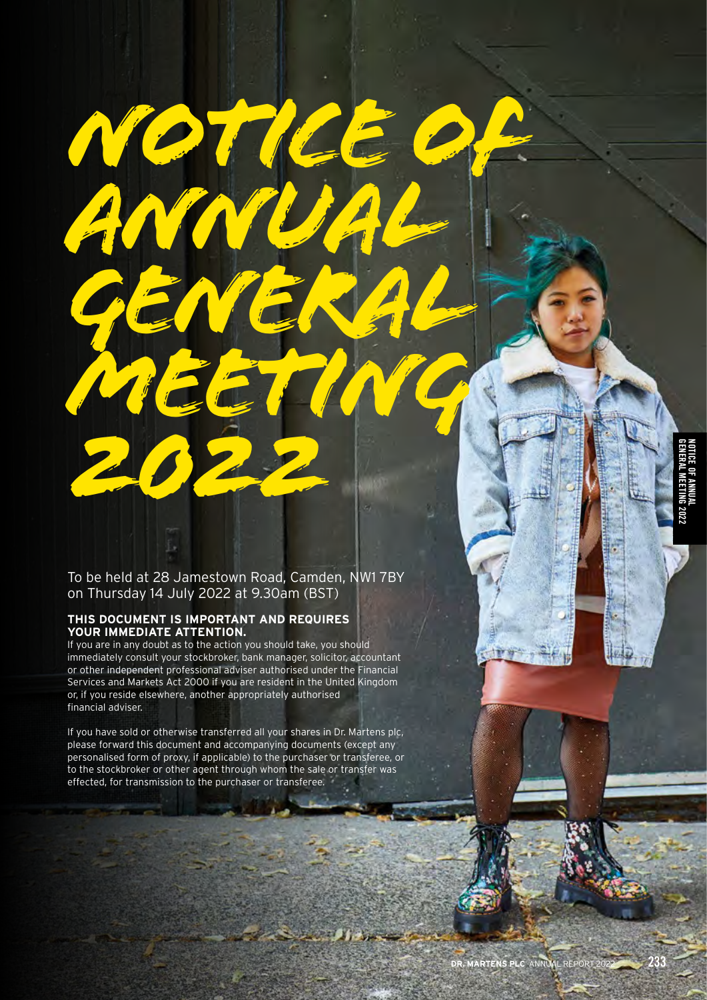GENERAL MEETING 2022 NOTICE OF ANNUAL

To be held at 28 Jamestown Road, Camden, NW1 7BY on Thursday 14 July 2022 at 9.30am (BST)

*NOTICE OF* 

*GENERAL* 

*MEETING* 

*ANNUAL* 

## **THIS DOCUMENT IS IMPORTANT AND REQUIRES YOUR IMMEDIATE ATTENTION.**

*2022*

If you are in any doubt as to the action you should take, you should immediately consult your stockbroker, bank manager, solicitor, accountant or other independent professional adviser authorised under the Financial Services and Markets Act 2000 if you are resident in the United Kingdom or, if you reside elsewhere, another appropriately authorised financial adviser.

If you have sold or otherwise transferred all your shares in Dr. Martens plc, please forward this document and accompanying documents (except any personalised form of proxy, if applicable) to the purchaser or transferee, or to the stockbroker or other agent through whom the sale or transfer was effected, for transmission to the purchaser or transferee.

**ALL AND**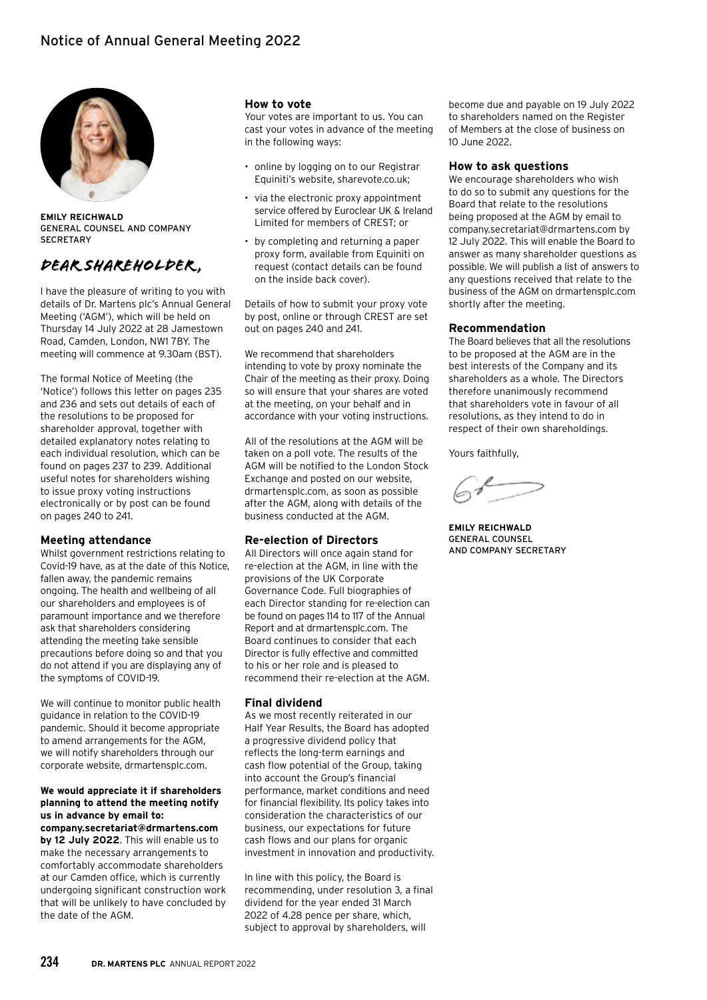

**EMILY REICHWALD**  GENERAL COUNSEL AND COMPANY **SECRETARY** 

# *Dear shareholder ,*

I have the pleasure of writing to you with details of Dr. Martens plc's Annual General Meeting ('AGM'), which will be held on Thursday 14 July 2022 at 28 Jamestown Road, Camden, London, NW1 7BY. The meeting will commence at 9.30am (BST).

The formal Notice of Meeting (the 'Notice') follows this letter on pages 235 and 236 and sets out details of each of the resolutions to be proposed for shareholder approval, together with detailed explanatory notes relating to each individual resolution, which can be found on pages 237 to 239. Additional useful notes for shareholders wishing to issue proxy voting instructions electronically or by post can be found on pages 240 to 241.

#### **Meeting attendance**

Whilst government restrictions relating to Covid-19 have, as at the date of this Notice, fallen away, the pandemic remains ongoing. The health and wellbeing of all our shareholders and employees is of paramount importance and we therefore ask that shareholders considering attending the meeting take sensible precautions before doing so and that you do not attend if you are displaying any of the symptoms of COVID-19.

We will continue to monitor public health guidance in relation to the COVID-19 pandemic. Should it become appropriate to amend arrangements for the AGM, we will notify shareholders through our corporate website, drmartensplc.com.

**We would appreciate it if shareholders planning to attend the meeting notify us in advance by email to: company.secretariat@drmartens.com by 12 July 2022**. This will enable us to make the necessary arrangements to comfortably accommodate shareholders at our Camden office, which is currently undergoing significant construction work that will be unlikely to have concluded by the date of the AGM.

#### **How to vote**

Your votes are important to us. You can cast your votes in advance of the meeting in the following ways:

- online by logging on to our Registrar Equiniti's website, sharevote.co.uk;
- via the electronic proxy appointment service offered by Euroclear UK & Ireland Limited for members of CREST; or
- by completing and returning a paper proxy form, available from Equiniti on request (contact details can be found on the inside back cover).

Details of how to submit your proxy vote by post, online or through CREST are set out on pages 240 and 241.

We recommend that shareholders intending to vote by proxy nominate the Chair of the meeting as their proxy. Doing so will ensure that your shares are voted at the meeting, on your behalf and in accordance with your voting instructions.

All of the resolutions at the AGM will be taken on a poll vote. The results of the AGM will be notified to the London Stock Exchange and posted on our website, drmartensplc.com, as soon as possible after the AGM, along with details of the business conducted at the AGM.

#### **Re-election of Directors**

All Directors will once again stand for re-election at the AGM, in line with the provisions of the UK Corporate Governance Code. Full biographies of each Director standing for re-election can be found on pages 114 to 117 of the Annual Report and at drmartensplc.com. The Board continues to consider that each Director is fully effective and committed to his or her role and is pleased to recommend their re-election at the AGM.

#### **Final dividend**

As we most recently reiterated in our Half Year Results, the Board has adopted a progressive dividend policy that reflects the long-term earnings and cash flow potential of the Group, taking into account the Group's financial performance, market conditions and need for financial flexibility. Its policy takes into consideration the characteristics of our business, our expectations for future cash flows and our plans for organic investment in innovation and productivity.

In line with this policy, the Board is recommending, under resolution 3, a final dividend for the year ended 31 March 2022 of 4.28 pence per share, which, subject to approval by shareholders, will

become due and payable on 19 July 2022 to shareholders named on the Register of Members at the close of business on 10 June 2022.

#### **How to ask questions**

We encourage shareholders who wish to do so to submit any questions for the Board that relate to the resolutions being proposed at the AGM by email to company.secretariat@drmartens.com by 12 July 2022. This will enable the Board to answer as many shareholder questions as possible. We will publish a list of answers to any questions received that relate to the business of the AGM on drmartensplc.com shortly after the meeting.

#### **Recommendation**

The Board believes that all the resolutions to be proposed at the AGM are in the best interests of the Company and its shareholders as a whole. The Directors therefore unanimously recommend that shareholders vote in favour of all resolutions, as they intend to do in respect of their own shareholdings.

Yours faithfully,

**EMILY REICHWALD**  GENERAL COUNSEL AND COMPANY SECRETARY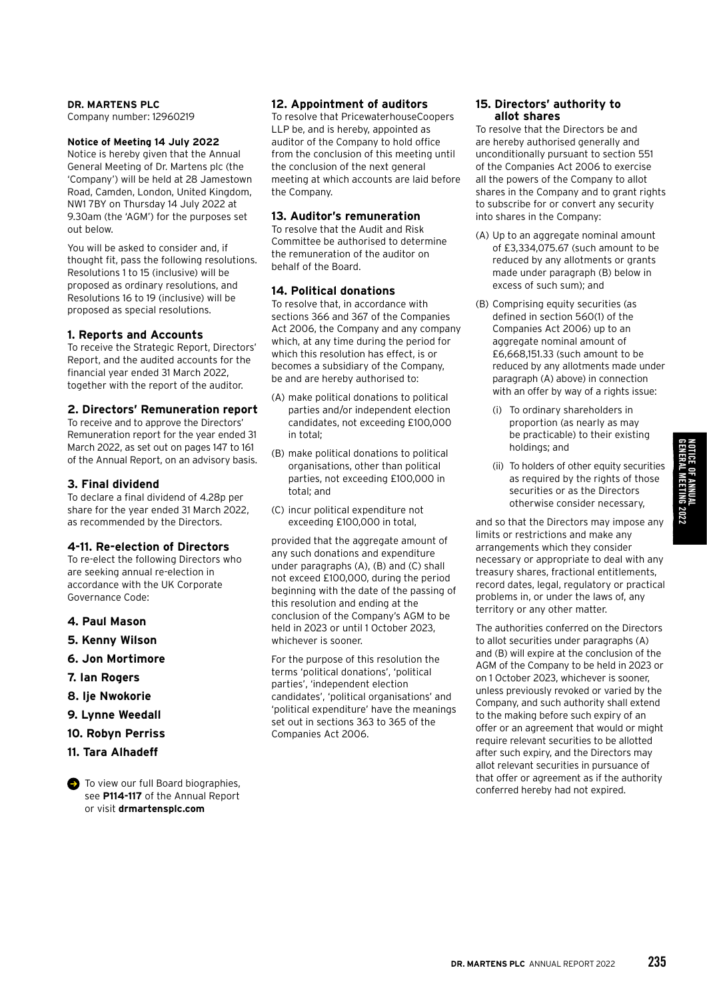#### **DR. MARTENS PLC**

Company number: 12960219

#### **Notice of Meeting 14 July 2022**

Notice is hereby given that the Annual General Meeting of Dr. Martens plc (the 'Company') will be held at 28 Jamestown Road, Camden, London, United Kingdom, NW1 7BY on Thursday 14 July 2022 at 9.30am (the 'AGM') for the purposes set out below.

You will be asked to consider and, if thought fit, pass the following resolutions. Resolutions 1 to 15 (inclusive) will be proposed as ordinary resolutions, and Resolutions 16 to 19 (inclusive) will be proposed as special resolutions.

#### **1. Reports and Accounts**

To receive the Strategic Report, Directors' Report, and the audited accounts for the financial year ended 31 March 2022, together with the report of the auditor.

#### **2. Directors' Remuneration report**

To receive and to approve the Directors' Remuneration report for the year ended 31 March 2022, as set out on pages 147 to 161 of the Annual Report, on an advisory basis.

#### **3. Final dividend**

To declare a final dividend of 4.28p per share for the year ended 31 March 2022, as recommended by the Directors.

#### **4-11. Re-election of Directors**

To re-elect the following Directors who are seeking annual re-election in accordance with the UK Corporate Governance Code:

- **4. Paul Mason**
- **5. Kenny Wilson**
- **6. Jon Mortimore**
- **7. Ian Rogers**
- **8. Ije Nwokorie**
- **9. Lynne Weedall**
- **10. Robyn Perriss**
- **11. Tara Alhadeff**

 $\bullet$  To view our full Board biographies, see **P114-117** of the Annual Report or visit **drmartensplc.com**

#### **12. Appointment of auditors**

To resolve that PricewaterhouseCoopers LLP be, and is hereby, appointed as auditor of the Company to hold office from the conclusion of this meeting until the conclusion of the next general meeting at which accounts are laid before the Company.

### **13. Auditor's remuneration**

To resolve that the Audit and Risk Committee be authorised to determine the remuneration of the auditor on behalf of the Board.

### **14. Political donations**

To resolve that, in accordance with sections 366 and 367 of the Companies Act 2006, the Company and any company which, at any time during the period for which this resolution has effect, is or becomes a subsidiary of the Company, be and are hereby authorised to:

- (A) make political donations to political parties and/or independent election candidates, not exceeding £100,000 in total;
- (B) make political donations to political organisations, other than political parties, not exceeding £100,000 in total; and
- (C) incur political expenditure not exceeding £100,000 in total,

provided that the aggregate amount of any such donations and expenditure under paragraphs (A), (B) and (C) shall not exceed £100,000, during the period beginning with the date of the passing of this resolution and ending at the conclusion of the Company's AGM to be held in 2023 or until 1 October 2023, whichever is sooner.

For the purpose of this resolution the terms 'political donations', 'political parties', 'independent election candidates', 'political organisations' and 'political expenditure' have the meanings set out in sections 363 to 365 of the Companies Act 2006.

### **15. Directors' authority to allot shares**

To resolve that the Directors be and are hereby authorised generally and unconditionally pursuant to section 551 of the Companies Act 2006 to exercise all the powers of the Company to allot shares in the Company and to grant rights to subscribe for or convert any security into shares in the Company:

- (A) Up to an aggregate nominal amount of £3,334,075.67 (such amount to be reduced by any allotments or grants made under paragraph (B) below in excess of such sum); and
- (B) Comprising equity securities (as defined in section 560(1) of the Companies Act 2006) up to an aggregate nominal amount of £6,668,151.33 (such amount to be reduced by any allotments made under paragraph (A) above) in connection with an offer by way of a rights issue:
	- (i) To ordinary shareholders in proportion (as nearly as may be practicable) to their existing holdings; and
	- (ii) To holders of other equity securities as required by the rights of those securities or as the Directors otherwise consider necessary,

and so that the Directors may impose any limits or restrictions and make any arrangements which they consider necessary or appropriate to deal with any treasury shares, fractional entitlements, record dates, legal, regulatory or practical problems in, or under the laws of, any territory or any other matter.

The authorities conferred on the Directors to allot securities under paragraphs (A) and (B) will expire at the conclusion of the AGM of the Company to be held in 2023 or on 1 October 2023, whichever is sooner, unless previously revoked or varied by the Company, and such authority shall extend to the making before such expiry of an offer or an agreement that would or might require relevant securities to be allotted after such expiry, and the Directors may allot relevant securities in pursuance of that offer or agreement as if the authority conferred hereby had not expired.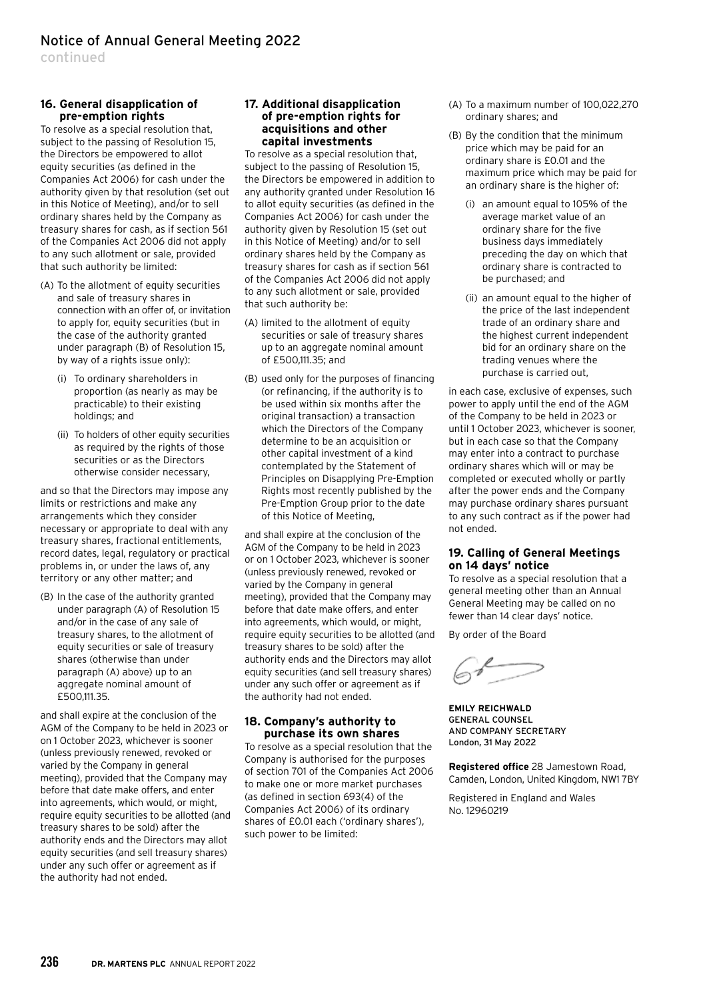continued

### **16. General disapplication of pre-emption rights**

To resolve as a special resolution that, subject to the passing of Resolution 15, the Directors be empowered to allot equity securities (as defined in the Companies Act 2006) for cash under the authority given by that resolution (set out in this Notice of Meeting), and/or to sell ordinary shares held by the Company as treasury shares for cash, as if section 561 of the Companies Act 2006 did not apply to any such allotment or sale, provided that such authority be limited:

- (A) To the allotment of equity securities and sale of treasury shares in connection with an offer of, or invitation to apply for, equity securities (but in the case of the authority granted under paragraph (B) of Resolution 15, by way of a rights issue only):
	- (i) To ordinary shareholders in proportion (as nearly as may be practicable) to their existing holdings; and
	- (ii) To holders of other equity securities as required by the rights of those securities or as the Directors otherwise consider necessary,

and so that the Directors may impose any limits or restrictions and make any arrangements which they consider necessary or appropriate to deal with any treasury shares, fractional entitlements, record dates, legal, regulatory or practical problems in, or under the laws of, any territory or any other matter; and

(B) In the case of the authority granted under paragraph (A) of Resolution 15 and/or in the case of any sale of treasury shares, to the allotment of equity securities or sale of treasury shares (otherwise than under paragraph (A) above) up to an aggregate nominal amount of £500,111.35.

and shall expire at the conclusion of the AGM of the Company to be held in 2023 or on 1 October 2023, whichever is sooner (unless previously renewed, revoked or varied by the Company in general meeting), provided that the Company may before that date make offers, and enter into agreements, which would, or might, require equity securities to be allotted (and treasury shares to be sold) after the authority ends and the Directors may allot equity securities (and sell treasury shares) under any such offer or agreement as if the authority had not ended.

#### **17. Additional disapplication of pre-emption rights for acquisitions and other capital investments**

To resolve as a special resolution that, subject to the passing of Resolution 15, the Directors be empowered in addition to any authority granted under Resolution 16 to allot equity securities (as defined in the Companies Act 2006) for cash under the authority given by Resolution 15 (set out in this Notice of Meeting) and/or to sell ordinary shares held by the Company as treasury shares for cash as if section 561 of the Companies Act 2006 did not apply to any such allotment or sale, provided that such authority be:

- (A) limited to the allotment of equity securities or sale of treasury shares up to an aggregate nominal amount of £500,111.35; and
- (B) used only for the purposes of financing (or refinancing, if the authority is to be used within six months after the original transaction) a transaction which the Directors of the Company determine to be an acquisition or other capital investment of a kind contemplated by the Statement of Principles on Disapplying Pre-Emption Rights most recently published by the Pre-Emption Group prior to the date of this Notice of Meeting,

and shall expire at the conclusion of the AGM of the Company to be held in 2023 or on 1 October 2023, whichever is sooner (unless previously renewed, revoked or varied by the Company in general meeting), provided that the Company may before that date make offers, and enter into agreements, which would, or might, require equity securities to be allotted (and treasury shares to be sold) after the authority ends and the Directors may allot equity securities (and sell treasury shares) under any such offer or agreement as if the authority had not ended.

### **18. Company's authority to purchase its own shares**

To resolve as a special resolution that the Company is authorised for the purposes of section 701 of the Companies Act 2006 to make one or more market purchases (as defined in section 693(4) of the Companies Act 2006) of its ordinary shares of £0.01 each ('ordinary shares'), such power to be limited:

- (A) To a maximum number of 100,022,270 ordinary shares; and
- (B) By the condition that the minimum price which may be paid for an ordinary share is £0.01 and the maximum price which may be paid for an ordinary share is the higher of:
	- (i) an amount equal to 105% of the average market value of an ordinary share for the five business days immediately preceding the day on which that ordinary share is contracted to be purchased; and
	- (ii) an amount equal to the higher of the price of the last independent trade of an ordinary share and the highest current independent bid for an ordinary share on the trading venues where the purchase is carried out,

in each case, exclusive of expenses, such power to apply until the end of the AGM of the Company to be held in 2023 or until 1 October 2023, whichever is sooner, but in each case so that the Company may enter into a contract to purchase ordinary shares which will or may be completed or executed wholly or partly after the power ends and the Company may purchase ordinary shares pursuant to any such contract as if the power had not ended.

### **19. Calling of General Meetings on 14 days' notice**

To resolve as a special resolution that a general meeting other than an Annual General Meeting may be called on no fewer than 14 clear days' notice.

By order of the Board

**EMILY REICHWALD**  GENERAL COUNSEL AND COMPANY SECRETARY London, 31 May 2022

**Registered office** 28 Jamestown Road, Camden, London, United Kingdom, NW1 7BY

Registered in England and Wales No. 12960219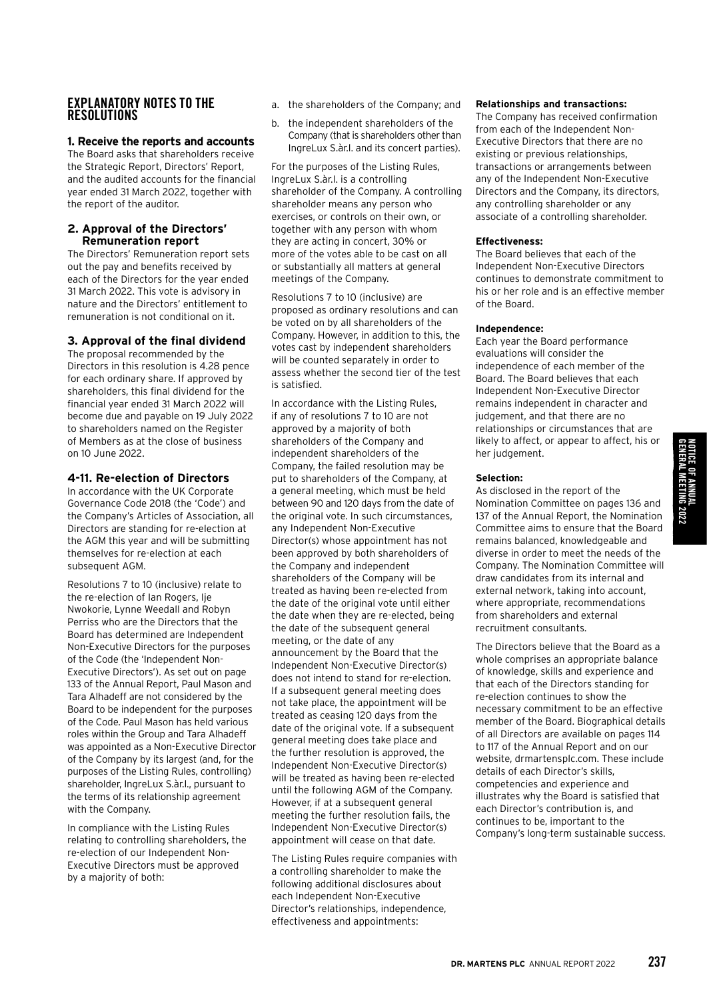## EXPLANATORY NOTES TO THE **RESOLUTIONS**

### **1. Receive the reports and accounts**

The Board asks that shareholders receive the Strategic Report, Directors' Report, and the audited accounts for the financial year ended 31 March 2022, together with the report of the auditor.

### **2. Approval of the Directors' Remuneration report**

The Directors' Remuneration report sets out the pay and benefits received by each of the Directors for the year ended 31 March 2022. This vote is advisory in nature and the Directors' entitlement to remuneration is not conditional on it.

## **3. Approval of the final dividend**

The proposal recommended by the Directors in this resolution is 4.28 pence for each ordinary share. If approved by shareholders, this final dividend for the financial year ended 31 March 2022 will become due and payable on 19 July 2022 to shareholders named on the Register of Members as at the close of business on 10 June 2022.

## **4-11. Re-election of Directors**

In accordance with the UK Corporate Governance Code 2018 (the 'Code') and the Company's Articles of Association, all Directors are standing for re-election at the AGM this year and will be submitting themselves for re-election at each subsequent AGM.

Resolutions 7 to 10 (inclusive) relate to the re-election of Ian Rogers, Ije Nwokorie, Lynne Weedall and Robyn Perriss who are the Directors that the Board has determined are Independent Non-Executive Directors for the purposes of the Code (the 'Independent Non-Executive Directors'). As set out on page 133 of the Annual Report, Paul Mason and Tara Alhadeff are not considered by the Board to be independent for the purposes of the Code. Paul Mason has held various roles within the Group and Tara Alhadeff was appointed as a Non-Executive Director of the Company by its largest (and, for the purposes of the Listing Rules, controlling) shareholder, IngreLux S.àr.l., pursuant to the terms of its relationship agreement with the Company.

In compliance with the Listing Rules relating to controlling shareholders, the re-election of our Independent Non-Executive Directors must be approved by a majority of both:

- a. the shareholders of the Company; and
- b. the independent shareholders of the Company (that is shareholders other than IngreLux S.àr.l. and its concert parties).

For the purposes of the Listing Rules, IngreLux S.àr.l. is a controlling shareholder of the Company. A controlling shareholder means any person who exercises, or controls on their own, or together with any person with whom they are acting in concert, 30% or more of the votes able to be cast on all or substantially all matters at general meetings of the Company.

Resolutions 7 to 10 (inclusive) are proposed as ordinary resolutions and can be voted on by all shareholders of the Company. However, in addition to this, the votes cast by independent shareholders will be counted separately in order to assess whether the second tier of the test is satisfied.

In accordance with the Listing Rules, if any of resolutions 7 to 10 are not approved by a majority of both shareholders of the Company and independent shareholders of the Company, the failed resolution may be put to shareholders of the Company, at a general meeting, which must be held between 90 and 120 days from the date of the original vote. In such circumstances, any Independent Non-Executive Director(s) whose appointment has not been approved by both shareholders of the Company and independent shareholders of the Company will be treated as having been re-elected from the date of the original vote until either the date when they are re-elected, being the date of the subsequent general meeting, or the date of any announcement by the Board that the Independent Non-Executive Director(s) does not intend to stand for re-election. If a subsequent general meeting does not take place, the appointment will be treated as ceasing 120 days from the date of the original vote. If a subsequent general meeting does take place and the further resolution is approved, the Independent Non-Executive Director(s) will be treated as having been re-elected until the following AGM of the Company. However, if at a subsequent general meeting the further resolution fails, the Independent Non-Executive Director(s) appointment will cease on that date.

The Listing Rules require companies with a controlling shareholder to make the following additional disclosures about each Independent Non-Executive Director's relationships, independence, effectiveness and appointments:

#### **Relationships and transactions:**

The Company has received confirmation from each of the Independent Non-Executive Directors that there are no existing or previous relationships, transactions or arrangements between any of the Independent Non-Executive Directors and the Company, its directors, any controlling shareholder or any associate of a controlling shareholder.

#### **Effectiveness:**

The Board believes that each of the Independent Non-Executive Directors continues to demonstrate commitment to his or her role and is an effective member of the Board.

#### **Independence:**

Each year the Board performance evaluations will consider the independence of each member of the Board. The Board believes that each Independent Non-Executive Director remains independent in character and judgement, and that there are no relationships or circumstances that are likely to affect, or appear to affect, his or her judgement.

#### **Selection:**

As disclosed in the report of the Nomination Committee on pages 136 and 137 of the Annual Report, the Nomination Committee aims to ensure that the Board remains balanced, knowledgeable and diverse in order to meet the needs of the Company. The Nomination Committee will draw candidates from its internal and external network, taking into account, where appropriate, recommendations from shareholders and external recruitment consultants.

The Directors believe that the Board as a whole comprises an appropriate balance of knowledge, skills and experience and that each of the Directors standing for re-election continues to show the necessary commitment to be an effective member of the Board. Biographical details of all Directors are available on pages 114 to 117 of the Annual Report and on our website, drmartensplc.com. These include details of each Director's skills, competencies and experience and illustrates why the Board is satisfied that each Director's contribution is, and continues to be, important to the Company's long-term sustainable success.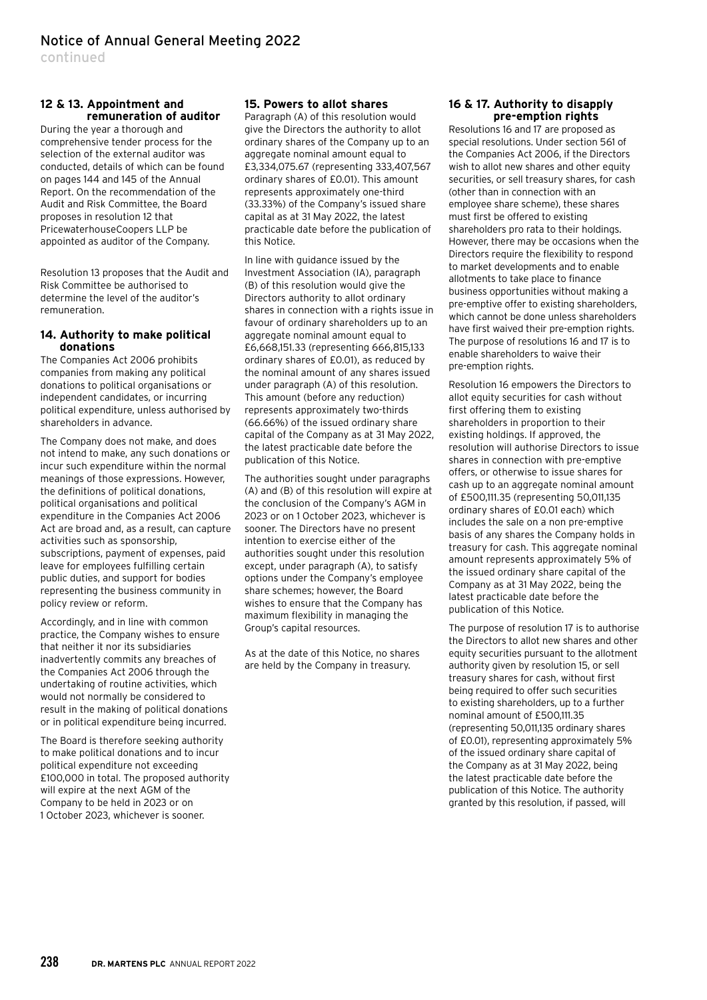continued

### **12 & 13. Appointment and remuneration of auditor**

During the year a thorough and comprehensive tender process for the selection of the external auditor was conducted, details of which can be found on pages 144 and 145 of the Annual Report. On the recommendation of the Audit and Risk Committee, the Board proposes in resolution 12 that PricewaterhouseCoopers LLP be appointed as auditor of the Company.

Resolution 13 proposes that the Audit and Risk Committee be authorised to determine the level of the auditor's remuneration.

#### **14. Authority to make political donations**

The Companies Act 2006 prohibits companies from making any political donations to political organisations or independent candidates, or incurring political expenditure, unless authorised by shareholders in advance.

The Company does not make, and does not intend to make, any such donations or incur such expenditure within the normal meanings of those expressions. However, the definitions of political donations, political organisations and political expenditure in the Companies Act 2006 Act are broad and, as a result, can capture activities such as sponsorship, subscriptions, payment of expenses, paid leave for employees fulfilling certain public duties, and support for bodies representing the business community in policy review or reform.

Accordingly, and in line with common practice, the Company wishes to ensure that neither it nor its subsidiaries inadvertently commits any breaches of the Companies Act 2006 through the undertaking of routine activities, which would not normally be considered to result in the making of political donations or in political expenditure being incurred.

The Board is therefore seeking authority to make political donations and to incur political expenditure not exceeding £100,000 in total. The proposed authority will expire at the next AGM of the Company to be held in 2023 or on 1 October 2023, whichever is sooner.

### **15. Powers to allot shares**

Paragraph (A) of this resolution would give the Directors the authority to allot ordinary shares of the Company up to an aggregate nominal amount equal to £3,334,075.67 (representing 333,407,567 ordinary shares of £0.01). This amount represents approximately one-third (33.33%) of the Company's issued share capital as at 31 May 2022, the latest practicable date before the publication of this Notice.

In line with guidance issued by the Investment Association (IA), paragraph (B) of this resolution would give the Directors authority to allot ordinary shares in connection with a rights issue in favour of ordinary shareholders up to an aggregate nominal amount equal to £6,668,151.33 (representing 666,815,133 ordinary shares of £0.01), as reduced by the nominal amount of any shares issued under paragraph (A) of this resolution. This amount (before any reduction) represents approximately two-thirds (66.66%) of the issued ordinary share capital of the Company as at 31 May 2022, the latest practicable date before the publication of this Notice.

The authorities sought under paragraphs (A) and (B) of this resolution will expire at the conclusion of the Company's AGM in 2023 or on 1 October 2023, whichever is sooner. The Directors have no present intention to exercise either of the authorities sought under this resolution except, under paragraph (A), to satisfy options under the Company's employee share schemes; however, the Board wishes to ensure that the Company has maximum flexibility in managing the Group's capital resources.

As at the date of this Notice, no shares are held by the Company in treasury.

#### **16 & 17. Authority to disapply pre-emption rights**

Resolutions 16 and 17 are proposed as special resolutions. Under section 561 of the Companies Act 2006, if the Directors wish to allot new shares and other equity securities, or sell treasury shares, for cash (other than in connection with an employee share scheme), these shares must first be offered to existing shareholders pro rata to their holdings. However, there may be occasions when the Directors require the flexibility to respond to market developments and to enable allotments to take place to finance business opportunities without making a pre-emptive offer to existing shareholders, which cannot be done unless shareholders have first waived their pre-emption rights. The purpose of resolutions 16 and 17 is to enable shareholders to waive their pre-emption rights.

Resolution 16 empowers the Directors to allot equity securities for cash without first offering them to existing shareholders in proportion to their existing holdings. If approved, the resolution will authorise Directors to issue shares in connection with pre-emptive offers, or otherwise to issue shares for cash up to an aggregate nominal amount of £500,111.35 (representing 50,011,135 ordinary shares of £0.01 each) which includes the sale on a non pre-emptive basis of any shares the Company holds in treasury for cash. This aggregate nominal amount represents approximately 5% of the issued ordinary share capital of the Company as at 31 May 2022, being the latest practicable date before the publication of this Notice.

The purpose of resolution 17 is to authorise the Directors to allot new shares and other equity securities pursuant to the allotment authority given by resolution 15, or sell treasury shares for cash, without first being required to offer such securities to existing shareholders, up to a further nominal amount of £500,111.35 (representing 50,011,135 ordinary shares of £0.01), representing approximately 5% of the issued ordinary share capital of the Company as at 31 May 2022, being the latest practicable date before the publication of this Notice. The authority granted by this resolution, if passed, will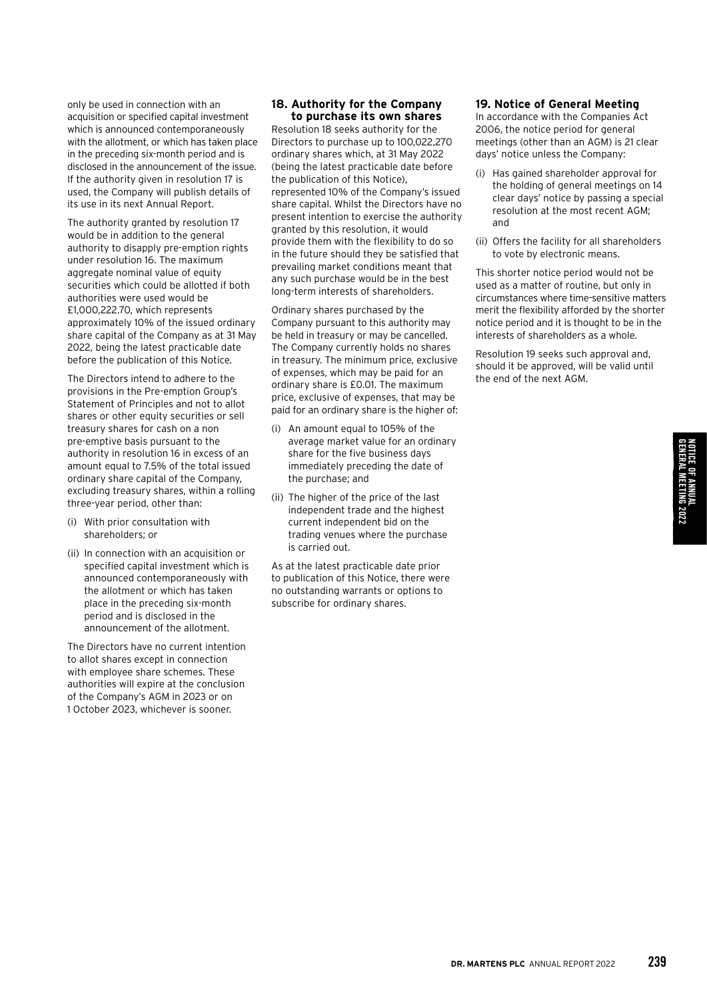only be used in connection with an acquisition or specified capital investment which is announced contemporaneously with the allotment, or which has taken place in the preceding six-month period and is disclosed in the announcement of the issue. If the authority given in resolution 17 is used, the Company will publish details of its use in its next Annual Report.

The authority granted by resolution 17 would be in addition to the general authority to disapply pre-emption rights under resolution 16. The maximum aggregate nominal value of equity securities which could be allotted if both authorities were used would be £1,000,222.70, which represents approximately 10% of the issued ordinary share capital of the Company as at 31 May 2022, being the latest practicable date before the publication of this Notice.

The Directors intend to adhere to the provisions in the Pre-emption Group's Statement of Principles and not to allot shares or other equity securities or sell treasury shares for cash on a non pre-emptive basis pursuant to the authority in resolution 16 in excess of an amount equal to 7.5% of the total issued ordinary share capital of the Company, excluding treasury shares, within a rolling three-year period, other than:

- (i) With prior consultation with shareholders; or
- (ii) In connection with an acquisition or specified capital investment which is announced contemporaneously with the allotment or which has taken place in the preceding six-month period and is disclosed in the announcement of the allotment.

The Directors have no current intention to allot shares except in connection with employee share schemes. These authorities will expire at the conclusion of the Company's AGM in 2023 or on 1 October 2023, whichever is sooner.

### **18. Authority for the Company to purchase its own shares**

Resolution 18 seeks authority for the Directors to purchase up to 100,022,270 ordinary shares which, at 31 May 2022 (being the latest practicable date before the publication of this Notice), represented 10% of the Company's issued share capital. Whilst the Directors have no present intention to exercise the authority granted by this resolution, it would provide them with the flexibility to do so in the future should they be satisfied that prevailing market conditions meant that any such purchase would be in the best long-term interests of shareholders.

Ordinary shares purchased by the Company pursuant to this authority may be held in treasury or may be cancelled. The Company currently holds no shares in treasury. The minimum price, exclusive of expenses, which may be paid for an ordinary share is £0.01. The maximum price, exclusive of expenses, that may be paid for an ordinary share is the higher of:

- (i) An amount equal to 105% of the average market value for an ordinary share for the five business days immediately preceding the date of the purchase; and
- (ii) The higher of the price of the last independent trade and the highest current independent bid on the trading venues where the purchase is carried out.

As at the latest practicable date prior to publication of this Notice, there were no outstanding warrants or options to subscribe for ordinary shares.

### **19. Notice of General Meeting**

In accordance with the Companies Act 2006, the notice period for general meetings (other than an AGM) is 21 clear days' notice unless the Company:

- (i) Has gained shareholder approval for the holding of general meetings on 14 clear days' notice by passing a special resolution at the most recent AGM; and
- (ii) Offers the facility for all shareholders to vote by electronic means.

This shorter notice period would not be used as a matter of routine, but only in circumstances where time-sensitive matters merit the flexibility afforded by the shorter notice period and it is thought to be in the interests of shareholders as a whole.

Resolution 19 seeks such approval and, should it be approved, will be valid until the end of the next AGM.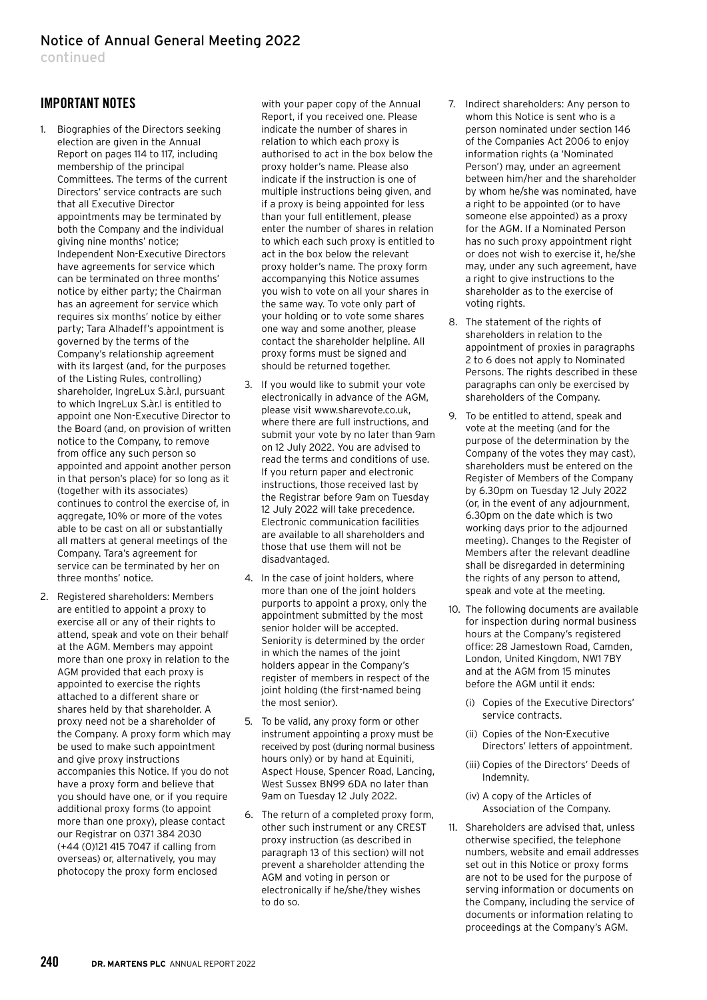continued

# IMPORTANT NOTES

- 1. Biographies of the Directors seeking election are given in the Annual Report on pages 114 to 117, including membership of the principal Committees. The terms of the current Directors' service contracts are such that all Executive Director appointments may be terminated by both the Company and the individual giving nine months' notice; Independent Non-Executive Directors have agreements for service which can be terminated on three months' notice by either party; the Chairman has an agreement for service which requires six months' notice by either party; Tara Alhadeff's appointment is governed by the terms of the Company's relationship agreement with its largest (and, for the purposes of the Listing Rules, controlling) shareholder, IngreLux S.àr.l, pursuant to which IngreLux S.àr.l is entitled to appoint one Non-Executive Director to the Board (and, on provision of written notice to the Company, to remove from office any such person so appointed and appoint another person in that person's place) for so long as it (together with its associates) continues to control the exercise of, in aggregate, 10% or more of the votes able to be cast on all or substantially all matters at general meetings of the Company. Tara's agreement for service can be terminated by her on three months' notice.
- 2. Registered shareholders: Members are entitled to appoint a proxy to exercise all or any of their rights to attend, speak and vote on their behalf at the AGM. Members may appoint more than one proxy in relation to the AGM provided that each proxy is appointed to exercise the rights attached to a different share or shares held by that shareholder. A proxy need not be a shareholder of the Company. A proxy form which may be used to make such appointment and give proxy instructions accompanies this Notice. If you do not have a proxy form and believe that you should have one, or if you require additional proxy forms (to appoint more than one proxy), please contact our Registrar on 0371 384 2030 (+44 (0)121 415 7047 if calling from overseas) or, alternatively, you may photocopy the proxy form enclosed

with your paper copy of the Annual Report, if you received one. Please indicate the number of shares in relation to which each proxy is authorised to act in the box below the proxy holder's name. Please also indicate if the instruction is one of multiple instructions being given, and if a proxy is being appointed for less than your full entitlement, please enter the number of shares in relation to which each such proxy is entitled to act in the box below the relevant proxy holder's name. The proxy form accompanying this Notice assumes you wish to vote on all your shares in the same way. To vote only part of your holding or to vote some shares one way and some another, please contact the shareholder helpline. All proxy forms must be signed and should be returned together.

- 3. If you would like to submit your vote electronically in advance of the AGM, please visit www.sharevote.co.uk, where there are full instructions, and submit your vote by no later than 9am on 12 July 2022. You are advised to read the terms and conditions of use. If you return paper and electronic instructions, those received last by the Registrar before 9am on Tuesday 12 July 2022 will take precedence. Electronic communication facilities are available to all shareholders and those that use them will not be disadvantaged.
- 4. In the case of joint holders, where more than one of the joint holders purports to appoint a proxy, only the appointment submitted by the most senior holder will be accepted. Seniority is determined by the order in which the names of the joint holders appear in the Company's register of members in respect of the joint holding (the first-named being the most senior).
- 5. To be valid, any proxy form or other instrument appointing a proxy must be received by post (during normal business hours only) or by hand at Equiniti, Aspect House, Spencer Road, Lancing, West Sussex BN99 6DA no later than 9am on Tuesday 12 July 2022.
- 6. The return of a completed proxy form, other such instrument or any CREST proxy instruction (as described in paragraph 13 of this section) will not prevent a shareholder attending the AGM and voting in person or electronically if he/she/they wishes to do so.
- 7. Indirect shareholders: Any person to whom this Notice is sent who is a person nominated under section 146 of the Companies Act 2006 to enjoy information rights (a 'Nominated Person') may, under an agreement between him/her and the shareholder by whom he/she was nominated, have a right to be appointed (or to have someone else appointed) as a proxy for the AGM. If a Nominated Person has no such proxy appointment right or does not wish to exercise it, he/she may, under any such agreement, have a right to give instructions to the shareholder as to the exercise of voting rights.
- 8. The statement of the rights of shareholders in relation to the appointment of proxies in paragraphs 2 to 6 does not apply to Nominated Persons. The rights described in these paragraphs can only be exercised by shareholders of the Company.
- 9. To be entitled to attend, speak and vote at the meeting (and for the purpose of the determination by the Company of the votes they may cast), shareholders must be entered on the Register of Members of the Company by 6.30pm on Tuesday 12 July 2022 (or, in the event of any adjournment, 6.30pm on the date which is two working days prior to the adjourned meeting). Changes to the Register of Members after the relevant deadline shall be disregarded in determining the rights of any person to attend, speak and vote at the meeting.
- 10. The following documents are available for inspection during normal business hours at the Company's registered office: 28 Jamestown Road, Camden, London, United Kingdom, NW1 7BY and at the AGM from 15 minutes before the AGM until it ends:
	- (i) Copies of the Executive Directors' service contracts.
	- (ii) Copies of the Non-Executive Directors' letters of appointment.
	- (iii) Copies of the Directors' Deeds of Indemnity.
	- (iv) A copy of the Articles of Association of the Company.
- 11. Shareholders are advised that, unless otherwise specified, the telephone numbers, website and email addresses set out in this Notice or proxy forms are not to be used for the purpose of serving information or documents on the Company, including the service of documents or information relating to proceedings at the Company's AGM.